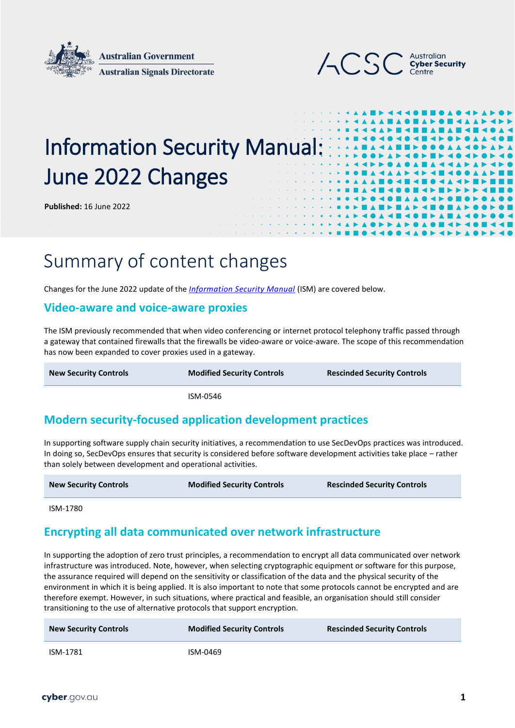



# Information Security Manual: June 2022 Changes

**Published:** 16 June 2022

# Summary of content changes

Changes for the June 2022 update of the *[Information Security Manual](https://www.cyber.gov.au/acsc/view-all-content/ism)* (ISM) are covered below.

#### **Video-aware and voice-aware proxies**

The ISM previously recommended that when video conferencing or internet protocol telephony traffic passed through a gateway that contained firewalls that the firewalls be video-aware or voice-aware. The scope of this recommendation has now been expanded to cover proxies used in a gateway.

**New Security Controls Modified Security Controls Rescinded Security Controls**

ISM-0546

#### **Modern security-focused application development practices**

In supporting software supply chain security initiatives, a recommendation to use SecDevOps practices was introduced. In doing so, SecDevOps ensures that security is considered before software development activities take place – rather than solely between development and operational activities.

**New Security Controls Modified Security Controls Rescinded Security Controls**

ISM-1780

#### **Encrypting all data communicated over network infrastructure**

In supporting the adoption of zero trust principles, a recommendation to encrypt all data communicated over network infrastructure was introduced. Note, however, when selecting cryptographic equipment or software for this purpose, the assurance required will depend on the sensitivity or classification of the data and the physical security of the environment in which it is being applied. It is also important to note that some protocols cannot be encrypted and are therefore exempt. However, in such situations, where practical and feasible, an organisation should still consider transitioning to the use of alternative protocols that support encryption.

| <b>New Security Controls</b> | <b>Modified Security Controls</b> | <b>Rescinded Security Controls</b> |
|------------------------------|-----------------------------------|------------------------------------|
| ISM-1781                     | ISM-0469                          |                                    |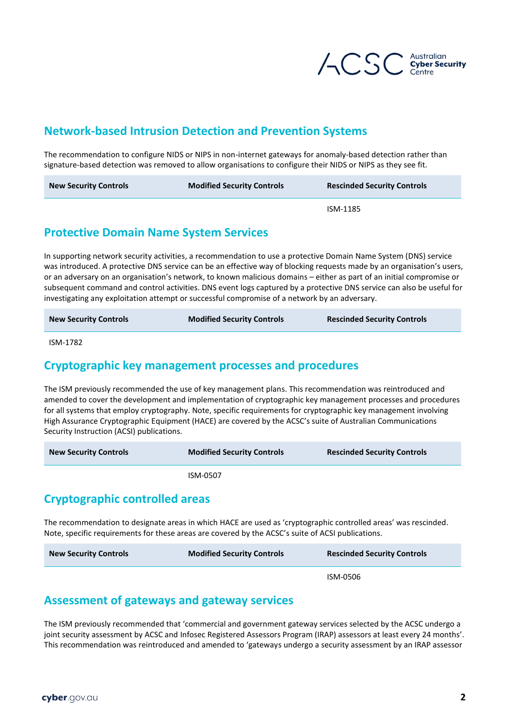

### **Network-based Intrusion Detection and Prevention Systems**

The recommendation to configure NIDS or NIPS in non-internet gateways for anomaly-based detection rather than signature-based detection was removed to allow organisations to configure their NIDS or NIPS as they see fit.

| <b>New Security Controls</b> | <b>Modified Security Controls</b> | <b>Rescinded Security Controls</b> |
|------------------------------|-----------------------------------|------------------------------------|
|                              |                                   | ISM-1185                           |

#### **Protective Domain Name System Services**

In supporting network security activities, a recommendation to use a protective Domain Name System (DNS) service was introduced. A protective DNS service can be an effective way of blocking requests made by an organisation's users, or an adversary on an organisation's network, to known malicious domains – either as part of an initial compromise or subsequent command and control activities. DNS event logs captured by a protective DNS service can also be useful for investigating any exploitation attempt or successful compromise of a network by an adversary.

| <b>New Security Controls</b> | <b>Modified Security Controls</b> | <b>Rescinded Security Controls</b> |
|------------------------------|-----------------------------------|------------------------------------|
|                              |                                   |                                    |

ISM-1782

#### **Cryptographic key management processes and procedures**

The ISM previously recommended the use of key management plans. This recommendation was reintroduced and amended to cover the development and implementation of cryptographic key management processes and procedures for all systems that employ cryptography. Note, specific requirements for cryptographic key management involving High Assurance Cryptographic Equipment (HACE) are covered by the ACSC's suite of Australian Communications Security Instruction (ACSI) publications.

| <b>New Security Controls</b> | <b>Modified Security Controls</b> | <b>Rescinded Security Controls</b> |
|------------------------------|-----------------------------------|------------------------------------|
|                              | ISM-0507                          |                                    |

## **Cryptographic controlled areas**

The recommendation to designate areas in which HACE are used as 'cryptographic controlled areas' was rescinded. Note, specific requirements for these areas are covered by the ACSC's suite of ACSI publications.

| <b>New Security Controls</b> | <b>Modified Security Controls</b> | <b>Rescinded Security Controls</b> |
|------------------------------|-----------------------------------|------------------------------------|
|                              |                                   | ISM-0506                           |

#### **Assessment of gateways and gateway services**

The ISM previously recommended that 'commercial and government gateway services selected by the ACSC undergo a joint security assessment by ACSC and Infosec Registered Assessors Program (IRAP) assessors at least every 24 months'. This recommendation was reintroduced and amended to 'gateways undergo a security assessment by an IRAP assessor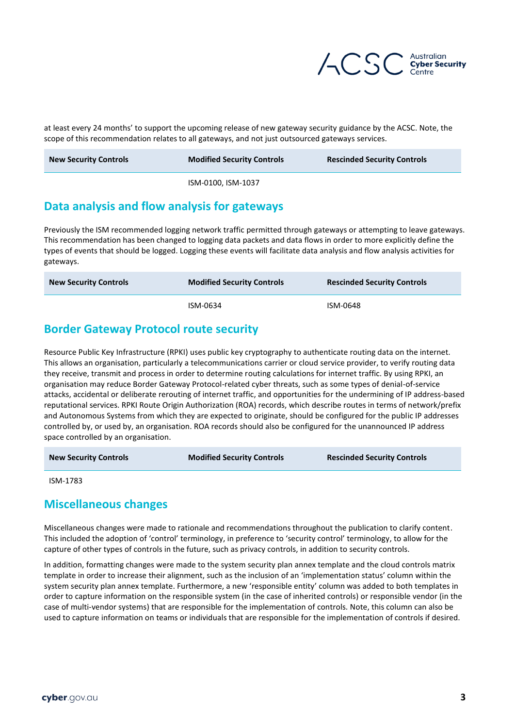

at least every 24 months' to support the upcoming release of new gateway security guidance by the ACSC. Note, the scope of this recommendation relates to all gateways, and not just outsourced gateways services.

| <b>New Security Controls</b> | <b>Modified Security Controls</b> | <b>Rescinded Security Controls</b> |
|------------------------------|-----------------------------------|------------------------------------|
|                              | ISM-0100, ISM-1037                |                                    |

#### **Data analysis and flow analysis for gateways**

Previously the ISM recommended logging network traffic permitted through gateways or attempting to leave gateways. This recommendation has been changed to logging data packets and data flows in order to more explicitly define the types of events that should be logged. Logging these events will facilitate data analysis and flow analysis activities for gateways.

| <b>New Security Controls</b> | <b>Modified Security Controls</b> | <b>Rescinded Security Controls</b> |
|------------------------------|-----------------------------------|------------------------------------|
|                              | ISM-0634                          | ISM-0648                           |

### **Border Gateway Protocol route security**

Resource Public Key Infrastructure (RPKI) uses public key cryptography to authenticate routing data on the internet. This allows an organisation, particularly a telecommunications carrier or cloud service provider, to verify routing data they receive, transmit and process in order to determine routing calculations for internet traffic. By using RPKI, an organisation may reduce Border Gateway Protocol-related cyber threats, such as some types of denial-of-service attacks, accidental or deliberate rerouting of internet traffic, and opportunities for the undermining of IP address-based reputational services. RPKI Route Origin Authorization (ROA) records, which describe routes in terms of network/prefix and Autonomous Systems from which they are expected to originate, should be configured for the public IP addresses controlled by, or used by, an organisation. ROA records should also be configured for the unannounced IP address space controlled by an organisation.

ISM-1783

#### **Miscellaneous changes**

Miscellaneous changes were made to rationale and recommendations throughout the publication to clarify content. This included the adoption of 'control' terminology, in preference to 'security control' terminology, to allow for the capture of other types of controls in the future, such as privacy controls, in addition to security controls.

In addition, formatting changes were made to the system security plan annex template and the cloud controls matrix template in order to increase their alignment, such as the inclusion of an 'implementation status' column within the system security plan annex template. Furthermore, a new 'responsible entity' column was added to both templates in order to capture information on the responsible system (in the case of inherited controls) or responsible vendor (in the case of multi-vendor systems) that are responsible for the implementation of controls. Note, this column can also be used to capture information on teams or individuals that are responsible for the implementation of controls if desired.